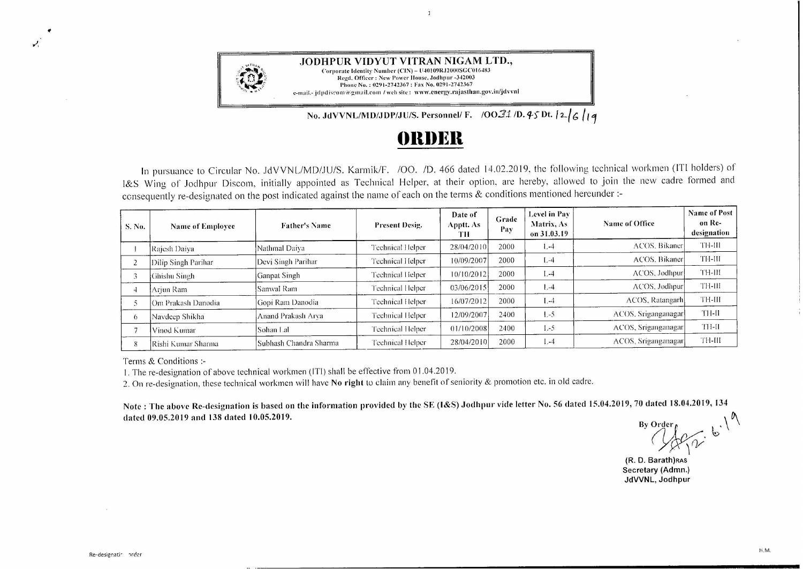

No. JdVVNL/MD/JDP/JU/S. Personnel/ F. **/00.31/D. 45 Dt. [2.] 6** 14

## **f)lll)Ell**

 $\mathbf{1}$ 

In pursuance to Circular No. JdVVNL/MD/JU/S. Karmik/F. /OO. /D. 466 dated 14.02.2019, the following technical workmen (ITI holders) of l&S Wing of Jodhpur Discorn, initially appointed as Technical Helper, at their option, are hereby, allowed to join the new cadre formed and ccnsequently re-designated on the post indicated against the name of each on the terms & conditions mentioned hereunder :-

| S. No.     | <b>Name of Employee</b> | <b>Father's Name</b>   | Present Desig.          | Date of<br>Apptt. As-<br>TН | Grade<br>Pay | <b>Level in Pav</b><br>Matrix, As<br>on 31.03.19 | Name of Office          | <b>Name of Post</b><br>on Re-<br>designation |
|------------|-------------------------|------------------------|-------------------------|-----------------------------|--------------|--------------------------------------------------|-------------------------|----------------------------------------------|
|            | Rajesh Daiya            | Nathmal Daiva          | <b>Technical Helper</b> | 28/04/2010                  | 2000         | $1 - 4$                                          | ACOS, Bikaner           | TH-III                                       |
|            | Dilip Singh Parihar     | Devi Singh Parihar     | Technical Helper        | 10/09/2007                  | 2000         | $L - 4$                                          | ACOS. Bikaner           | TH-III                                       |
|            | Ghishu Singh            | <b>Ganpat Singh</b>    | Technical Helper        | 10/10/2012                  | 2000         | $1 - 4$                                          | ACOS, Jodhpur           | TH-III                                       |
|            | Arjun Ram               | Sanwal Ram             | Technical Helper        | 03/06/2015                  | 2000         | $1 - 4$                                          | ACOS. Jodhpur           | TH-III                                       |
|            | Om Prakash Danodia      | Gopi Ram Danodia       | Technical Helper        | 16/07/2012                  | 2000         | $1 - 4$                                          | <b>ACOS</b> , Ratangarh | TH-III                                       |
| $^{\circ}$ | Navdeep Shikha          | Anand Prakash Arva     | <b>Technical Helper</b> | 12/09/2007                  | 2400         | $1 - 5$                                          | ACOS, Sriganganagar     | TH-II                                        |
|            | Vinod Kumar             | Sohan Lal              | Technical Helper        | 01/10/2008                  | 2400         | $1 - 5$                                          | ACOS, Sriganganagar     | TH-II                                        |
|            | lRishi Kumar Sharma-    | Subhash Chandra Sharma | Technical Helper        | 28/04/2010                  | 2000         | $L-4$                                            | ACOS, Sriganganagarl    | TH-III                                       |

Terms & Conditions :-

1. The re-designation of above technical workmen (ITI) shall be effective from O 1.04.2019.

2. On re-designation, these technical workmen will have **No right** to claim any benefit of seniority & promotion etc. in old cadre.

Note : The above Re-designation is based on the information provided by the SE (I&S) Jodhpur vide letter No. 56 dated 15.04.2019, 70 dated 18.04.2019, 134<br>dated 09.05.2019 and 138 dated 10.05.2019.

 $\omega^2$ 

**(R. D. Barath)RAS Secretary (Admn.) JdVVNL, Jodhpur** 

"